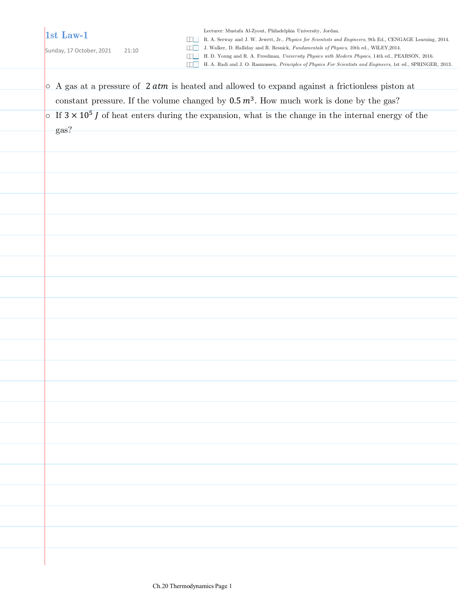## **1st Law-1**

Sunday, 17 October, 2021 21:10

Lecturer: Mustafa Al-Zyout, Philadelphia University, Jordan.

R. A. Serway and J. W. Jewett, Jr., *Physics for Scientists and Engineers*, 9th Ed., CENGAGE Learning, 2014.

J. Walker, D. Halliday and R. Resnick, *Fundamentals of Physics*, 10th ed., WILEY,2014.

H. D. Young and R. A. Freedman, *University Physics with Modern Physics*, 14th ed., PEARSON, 2016.

H. A. Radi and J. O. Rasmussen, *Principles of Physics For Scientists and Engineers*, 1st ed., SPRINGER, 2013.

| constant pressure. If the volume changed by $0.5 \, m^3$ . How much work is done by the gas?<br>$\circ$ If $3 \times 10^5$ J of heat enters during the expansion, what is the change in the internal energy of the<br>gas? |  |
|----------------------------------------------------------------------------------------------------------------------------------------------------------------------------------------------------------------------------|--|
|                                                                                                                                                                                                                            |  |
|                                                                                                                                                                                                                            |  |
|                                                                                                                                                                                                                            |  |
|                                                                                                                                                                                                                            |  |
|                                                                                                                                                                                                                            |  |
|                                                                                                                                                                                                                            |  |
|                                                                                                                                                                                                                            |  |
|                                                                                                                                                                                                                            |  |
|                                                                                                                                                                                                                            |  |
|                                                                                                                                                                                                                            |  |
|                                                                                                                                                                                                                            |  |
|                                                                                                                                                                                                                            |  |
|                                                                                                                                                                                                                            |  |
|                                                                                                                                                                                                                            |  |
|                                                                                                                                                                                                                            |  |
|                                                                                                                                                                                                                            |  |
|                                                                                                                                                                                                                            |  |
|                                                                                                                                                                                                                            |  |
|                                                                                                                                                                                                                            |  |
|                                                                                                                                                                                                                            |  |
|                                                                                                                                                                                                                            |  |
|                                                                                                                                                                                                                            |  |
|                                                                                                                                                                                                                            |  |
|                                                                                                                                                                                                                            |  |
|                                                                                                                                                                                                                            |  |
|                                                                                                                                                                                                                            |  |
|                                                                                                                                                                                                                            |  |
|                                                                                                                                                                                                                            |  |
|                                                                                                                                                                                                                            |  |
|                                                                                                                                                                                                                            |  |
|                                                                                                                                                                                                                            |  |
|                                                                                                                                                                                                                            |  |
|                                                                                                                                                                                                                            |  |
|                                                                                                                                                                                                                            |  |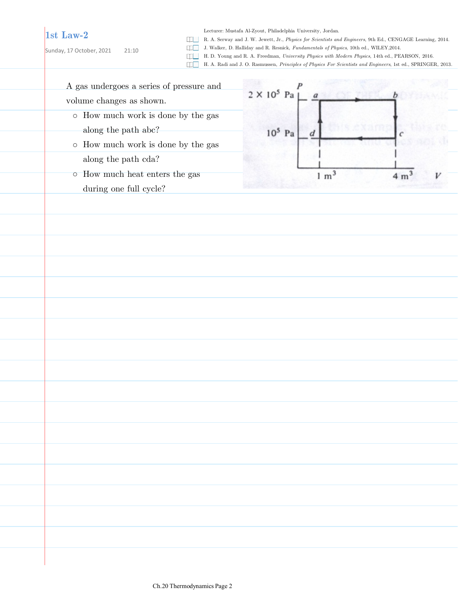## **1st Law-2**

Sunday, 17 October, 2021 21:10

Lecturer: Mustafa Al-Zyout, Philadelphia University, Jordan.

R. A. Serway and J. W. Jewett, Jr., *Physics for Scientists and Engineers*, 9th Ed., CENGAGE Learning, 2014.

J. Walker, D. Halliday and R. Resnick, *Fundamentals of Physics*, 10th ed., WILEY,2014.

H. D. Young and R. A. Freedman, *University Physics with Modern Physics*, 14th ed., PEARSON, 2016.

H. A. Radi and J. O. Rasmussen, *Principles of Physics For Scientists and Engineers*, 1st ed., SPRINGER, 2013.

A gas undergoes a series of pressure and volume changes as shown.

- How much work is done by the gas along the path abc?
- o How much work is done by the gas along the path cda?
- How much heat enters the gas during one full cycle?

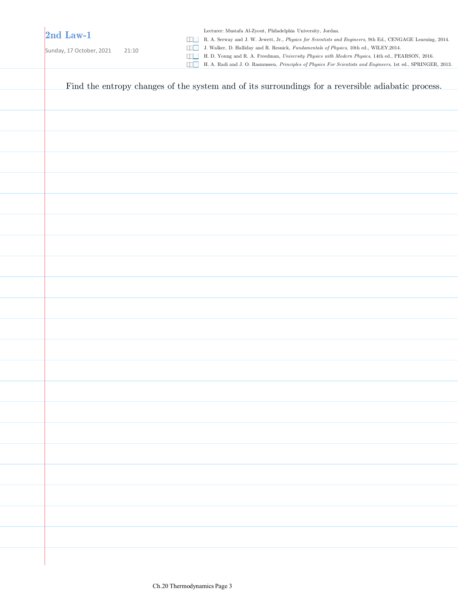## **2nd Law-1**

Sunday, 17 October, 2021 21:10

Lecturer: Mustafa Al-Zyout, Philadelphia University, Jordan.

R. A. Serway and J. W. Jewett, Jr., *Physics for Scientists and Engineers*, 9th Ed., CENGAGE Learning, 2014.

J. Walker, D. Halliday and R. Resnick, *Fundamentals of Physics*, 10th ed., WILEY,2014.

H. D. Young and R. A. Freedman, *University Physics with Modern Physics*, 14th ed., PEARSON, 2016.

H. A. Radi and J. O. Rasmussen, *Principles of Physics For Scientists and Engineers*, 1st ed., SPRINGER, 2013.

| Find the entropy changes of the system and of its surroundings for a reversible adiabatic process. |
|----------------------------------------------------------------------------------------------------|
|                                                                                                    |
|                                                                                                    |
|                                                                                                    |
|                                                                                                    |
|                                                                                                    |
|                                                                                                    |
|                                                                                                    |
|                                                                                                    |
|                                                                                                    |
|                                                                                                    |
|                                                                                                    |
|                                                                                                    |
|                                                                                                    |
|                                                                                                    |
|                                                                                                    |
|                                                                                                    |
|                                                                                                    |
|                                                                                                    |
|                                                                                                    |
|                                                                                                    |
|                                                                                                    |
|                                                                                                    |
|                                                                                                    |
|                                                                                                    |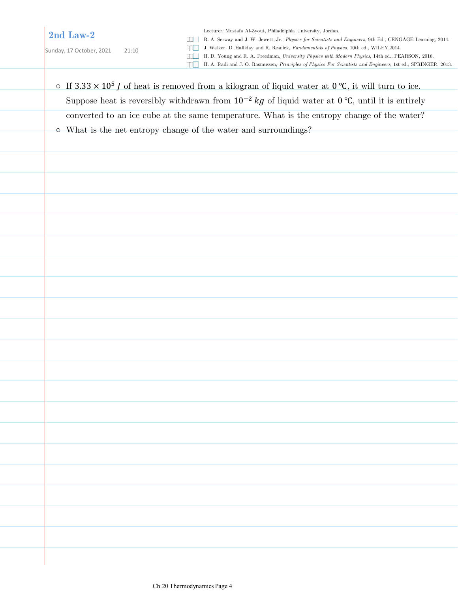**2nd Law-2**

Sunday, 17 October, 2021 21:10

Lecturer: Mustafa Al-Zyout, Philadelphia University, Jordan.

R. A. Serway and J. W. Jewett, Jr., *Physics for Scientists and Engineers*, 9th Ed., CENGAGE Learning, 2014.

J. Walker, D. Halliday and R. Resnick, *Fundamentals of Physics*, 10th ed., WILEY,2014.

H. D. Young and R. A. Freedman, *University Physics with Modern Physics*, 14th ed., PEARSON, 2016.

- H. A. Radi and J. O. Rasmussen, *Principles of Physics For Scientists and Engineers*, 1st ed., SPRINGER, 2013.
- o If  $3.33 \times 10^5$  J of heat is removed from a kilogram of liquid water at  $0^{\circ}$ C, it will turn to ice. Suppose heat is reversibly withdrawn from  $10^{-2}$  kg of liquid water at 0 °C, until it is entirely converted to an ice cube at the same temperature. What is the entropy change of the water? ○ What is the net entropy change of the water and surroundings?